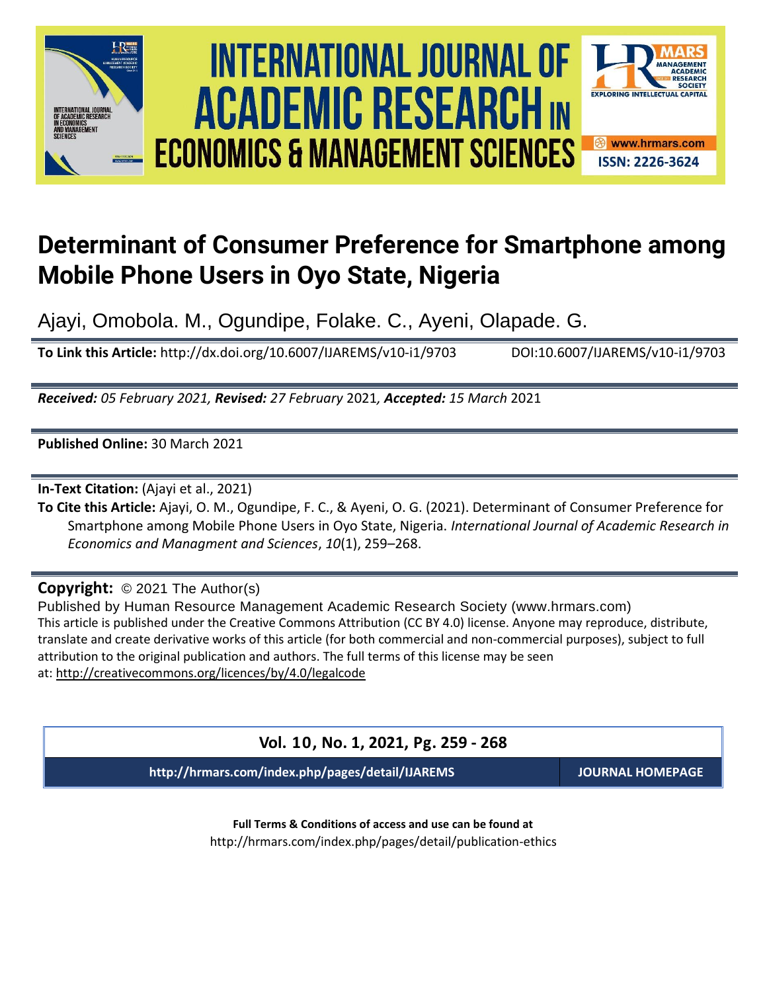





# **Determinant of Consumer Preference for Smartphone among Mobile Phone Users in Oyo State, Nigeria**

Ajayi, Omobola. M., Ogundipe, Folake. C., Ayeni, Olapade. G.

**To Link this Article:** http://dx.doi.org/10.6007/IJAREMS/v10-i1/9703 DOI:10.6007/IJAREMS/v10-i1/9703

*Received: 05 February 2021, Revised: 27 February* 2021*, Accepted: 15 March* 2021

**Published Online:** 30 March 2021

**In-Text Citation:** (Ajayi et al., 2021)

**To Cite this Article:** Ajayi, O. M., Ogundipe, F. C., & Ayeni, O. G. (2021). Determinant of Consumer Preference for Smartphone among Mobile Phone Users in Oyo State, Nigeria. *International Journal of Academic Research in Economics and Managment and Sciences*, *10*(1), 259–268.

**Copyright:** © 2021 The Author(s)

Published by Human Resource Management Academic Research Society (www.hrmars.com) This article is published under the Creative Commons Attribution (CC BY 4.0) license. Anyone may reproduce, distribute, translate and create derivative works of this article (for both commercial and non-commercial purposes), subject to full attribution to the original publication and authors. The full terms of this license may be seen at: <http://creativecommons.org/licences/by/4.0/legalcode>

**Vol. 10, No. 1, 2021, Pg. 259 - 268**

**http://hrmars.com/index.php/pages/detail/IJAREMS JOURNAL HOMEPAGE**

**Full Terms & Conditions of access and use can be found at** http://hrmars.com/index.php/pages/detail/publication-ethics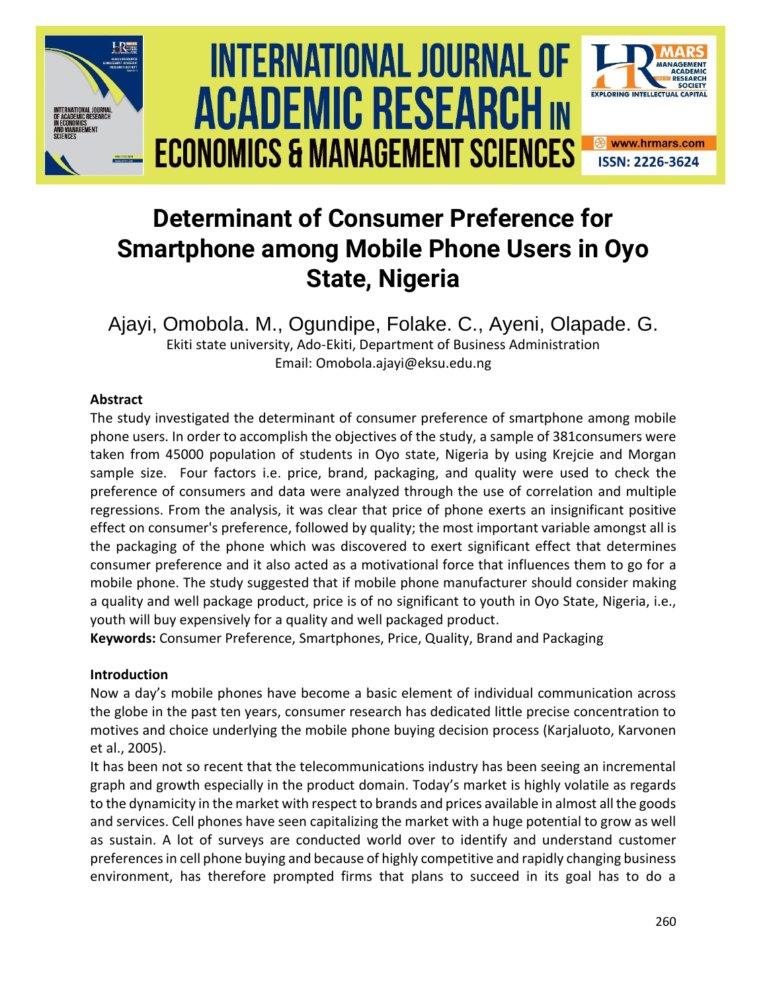

# **Determinant of Consumer Preference for Smartphone among Mobile Phone Users in Oyo State, Nigeria**

Ajayi, Omobola. M., Ogundipe, Folake. C., Ayeni, Olapade. G. Ekiti state university, Ado-Ekiti, Department of Business Administration Email: Omobola.ajayi@eksu.edu.ng

# **Abstract**

The study investigated the determinant of consumer preference of smartphone among mobile phone users. In order to accomplish the objectives of the study, a sample of 381consumers were taken from 45000 population of students in Oyo state, Nigeria by using Krejcie and Morgan sample size. Four factors i.e. price, brand, packaging, and quality were used to check the preference of consumers and data were analyzed through the use of correlation and multiple regressions. From the analysis, it was clear that price of phone exerts an insignificant positive effect on consumer's preference, followed by quality; the most important variable amongst all is the packaging of the phone which was discovered to exert significant effect that determines consumer preference and it also acted as a motivational force that influences them to go for a mobile phone. The study suggested that if mobile phone manufacturer should consider making a quality and well package product, price is of no significant to youth in Oyo State, Nigeria, i.e., youth will buy expensively for a quality and well packaged product.

**Keywords:** Consumer Preference, Smartphones, Price, Quality, Brand and Packaging

# **Introduction**

Now a day's mobile phones have become a basic element of individual communication across the globe in the past ten years, consumer research has dedicated little precise concentration to motives and choice underlying the mobile phone buying decision process (Karjaluoto, Karvonen et al., 2005).

It has been not so recent that the telecommunications industry has been seeing an incremental graph and growth especially in the product domain. Today's market is highly volatile as regards to the dynamicity in the market with respect to brands and prices available in almost all the goods and services. Cell phones have seen capitalizing the market with a huge potential to grow as well as sustain. A lot of surveys are conducted world over to identify and understand customer preferences in cell phone buying and because of highly competitive and rapidly changing business environment, has therefore prompted firms that plans to succeed in its goal has to do a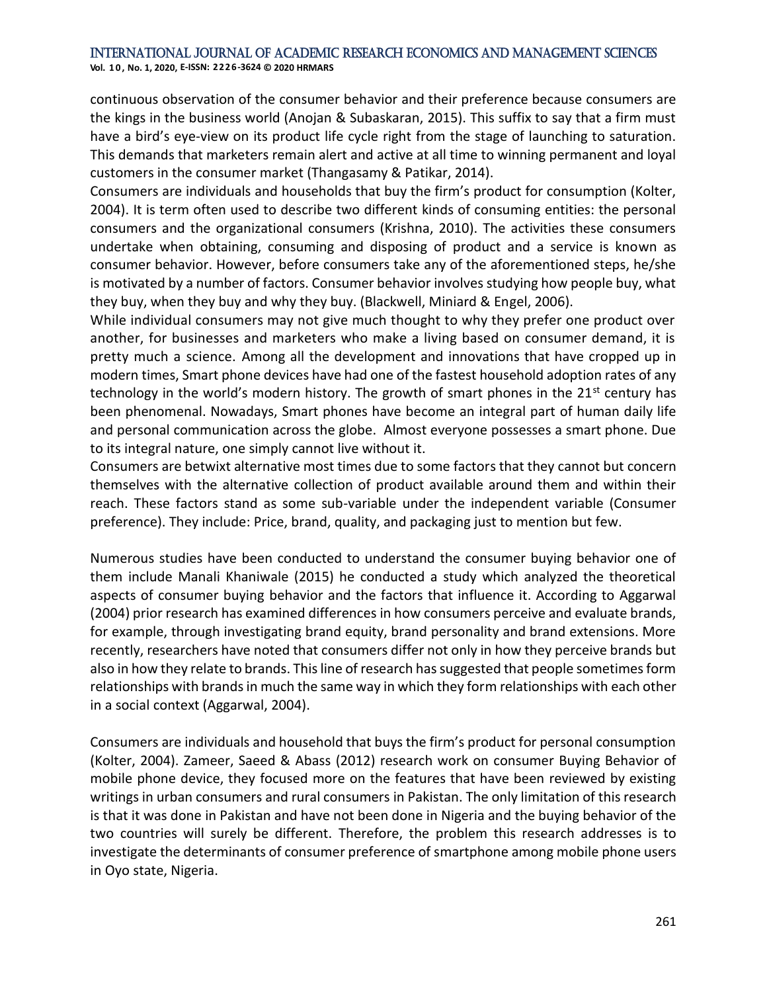**Vol. 1 0 , No. 1, 2020, E-ISSN: 2226-3624 © 2020 HRMARS**

continuous observation of the consumer behavior and their preference because consumers are the kings in the business world (Anojan & Subaskaran, 2015). This suffix to say that a firm must have a bird's eye-view on its product life cycle right from the stage of launching to saturation. This demands that marketers remain alert and active at all time to winning permanent and loyal customers in the consumer market (Thangasamy & Patikar, 2014).

Consumers are individuals and households that buy the firm's product for consumption (Kolter, 2004). It is term often used to describe two different kinds of consuming entities: the personal consumers and the organizational consumers (Krishna, 2010). The activities these consumers undertake when obtaining, consuming and disposing of product and a service is known as consumer behavior. However, before consumers take any of the aforementioned steps, he/she is motivated by a number of factors. Consumer behavior involves studying how people buy, what they buy, when they buy and why they buy. (Blackwell, Miniard & Engel, 2006).

While individual consumers may not give much thought to why they prefer one product over another, for businesses and marketers who make a living based on consumer demand, it is pretty much a science. Among all the development and innovations that have cropped up in modern times, Smart phone devices have had one of the fastest household adoption rates of any technology in the world's modern history. The growth of smart phones in the  $21<sup>st</sup>$  century has been phenomenal. Nowadays, Smart phones have become an integral part of human daily life and personal communication across the globe. Almost everyone possesses a smart phone. Due to its integral nature, one simply cannot live without it.

Consumers are betwixt alternative most times due to some factors that they cannot but concern themselves with the alternative collection of product available around them and within their reach. These factors stand as some sub-variable under the independent variable (Consumer preference). They include: Price, brand, quality, and packaging just to mention but few.

Numerous studies have been conducted to understand the consumer buying behavior one of them include Manali Khaniwale (2015) he conducted a study which analyzed the theoretical aspects of consumer buying behavior and the factors that influence it. According to Aggarwal (2004) prior research has examined differences in how consumers perceive and evaluate brands, for example, through investigating brand equity, brand personality and brand extensions. More recently, researchers have noted that consumers differ not only in how they perceive brands but also in how they relate to brands. This line of research has suggested that people sometimes form relationships with brands in much the same way in which they form relationships with each other in a social context (Aggarwal, 2004).

Consumers are individuals and household that buys the firm's product for personal consumption (Kolter, 2004). Zameer, Saeed & Abass (2012) research work on consumer Buying Behavior of mobile phone device, they focused more on the features that have been reviewed by existing writings in urban consumers and rural consumers in Pakistan. The only limitation of this research is that it was done in Pakistan and have not been done in Nigeria and the buying behavior of the two countries will surely be different. Therefore, the problem this research addresses is to investigate the determinants of consumer preference of smartphone among mobile phone users in Oyo state, Nigeria.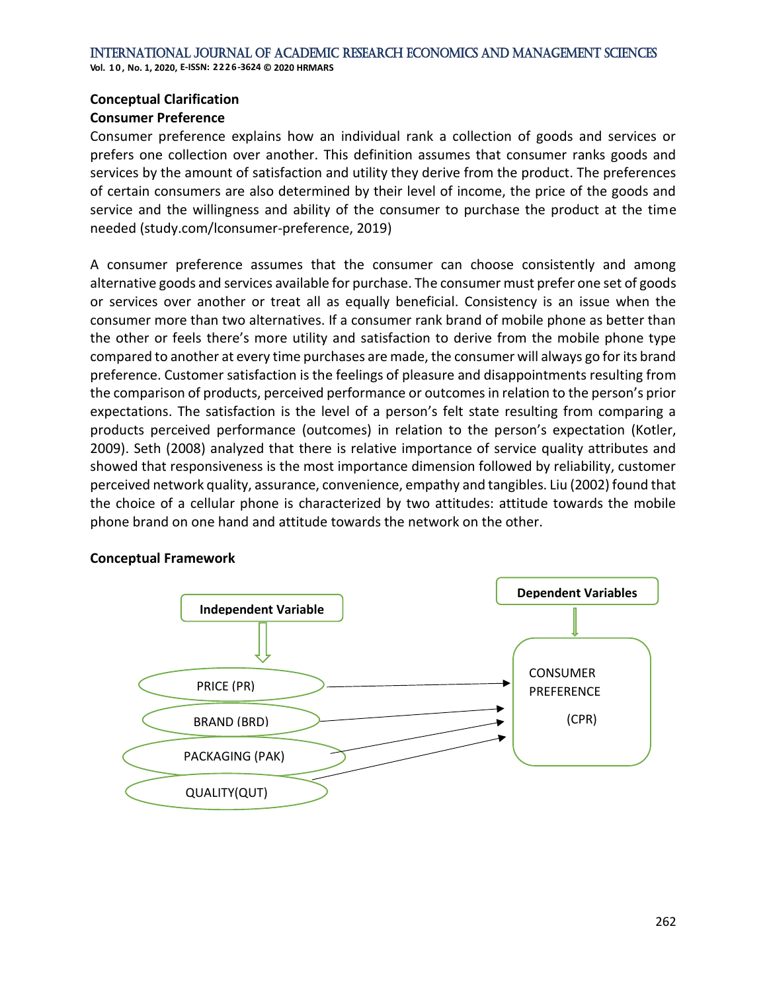# **Conceptual Clarification**

# **Consumer Preference**

Consumer preference explains how an individual rank a collection of goods and services or prefers one collection over another. This definition assumes that consumer ranks goods and services by the amount of satisfaction and utility they derive from the product. The preferences of certain consumers are also determined by their level of income, the price of the goods and service and the willingness and ability of the consumer to purchase the product at the time needed [\(study.com/lconsumer-preference,](https://study.com/acaemy/lesson/consumer-preference) 2019)

A consumer preference assumes that the consumer can choose consistently and among alternative goods and services available for purchase. The consumer must prefer one set of goods or services over another or treat all as equally beneficial. Consistency is an issue when the consumer more than two alternatives. If a consumer rank brand of mobile phone as better than the other or feels there's more utility and satisfaction to derive from the mobile phone type compared to another at every time purchases are made, the consumer will always go for its brand preference. Customer satisfaction is the feelings of pleasure and disappointments resulting from the comparison of products, perceived performance or outcomes in relation to the person's prior expectations. The satisfaction is the level of a person's felt state resulting from comparing a products perceived performance (outcomes) in relation to the person's expectation (Kotler, 2009). Seth (2008) analyzed that there is relative importance of service quality attributes and showed that responsiveness is the most importance dimension followed by reliability, customer perceived network quality, assurance, convenience, empathy and tangibles. Liu (2002) found that the choice of a cellular phone is characterized by two attitudes: attitude towards the mobile phone brand on one hand and attitude towards the network on the other.

## **Conceptual Framework**

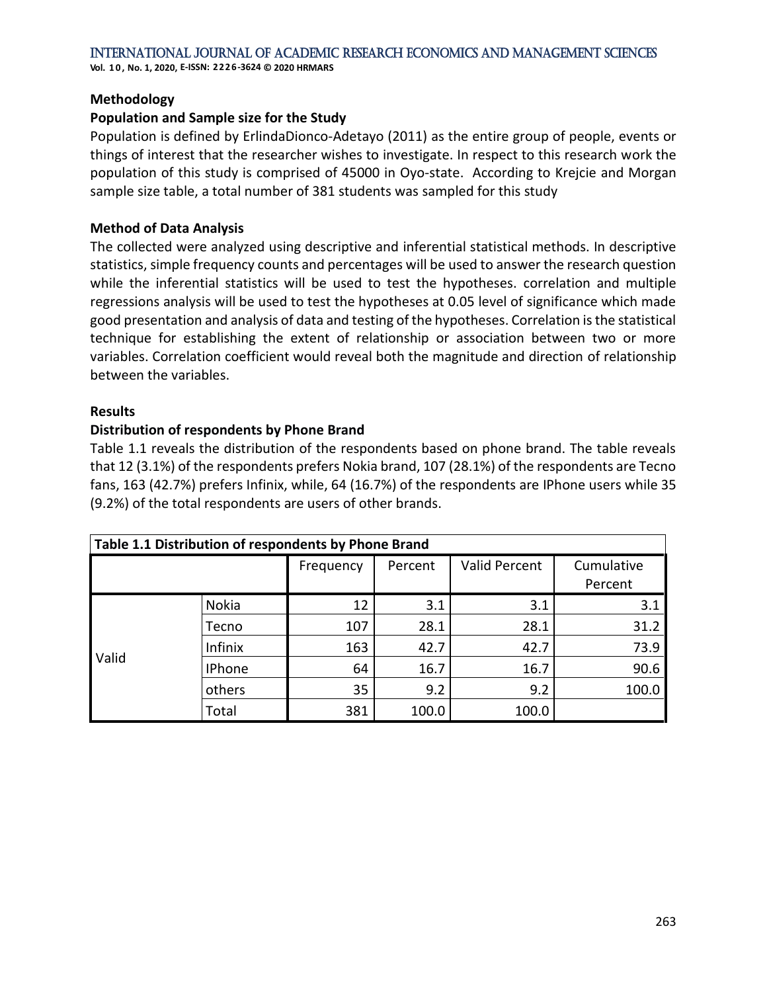**Vol. 1 0 , No. 1, 2020, E-ISSN: 2226-3624 © 2020 HRMARS**

#### **Methodology**

#### **Population and Sample size for the Study**

Population is defined by ErlindaDionco-Adetayo (2011) as the entire group of people, events or things of interest that the researcher wishes to investigate. In respect to this research work the population of this study is comprised of 45000 in Oyo-state. According to Krejcie and Morgan sample size table, a total number of 381 students was sampled for this study

#### **Method of Data Analysis**

The collected were analyzed using descriptive and inferential statistical methods. In descriptive statistics, simple frequency counts and percentages will be used to answer the research question while the inferential statistics will be used to test the hypotheses. correlation and multiple regressions analysis will be used to test the hypotheses at 0.05 level of significance which made good presentation and analysis of data and testing of the hypotheses. Correlation is the statistical technique for establishing the extent of relationship or association between two or more variables. Correlation coefficient would reveal both the magnitude and direction of relationship between the variables.

#### **Results**

#### **Distribution of respondents by Phone Brand**

Table 1.1 reveals the distribution of the respondents based on phone brand. The table reveals that 12 (3.1%) of the respondents prefers Nokia brand, 107 (28.1%) of the respondents are Tecno fans, 163 (42.7%) prefers Infinix, while, 64 (16.7%) of the respondents are IPhone users while 35 (9.2%) of the total respondents are users of other brands.

| Table 1.1 Distribution of respondents by Phone Brand |               |           |         |                      |            |  |  |  |  |
|------------------------------------------------------|---------------|-----------|---------|----------------------|------------|--|--|--|--|
|                                                      |               | Frequency | Percent | <b>Valid Percent</b> | Cumulative |  |  |  |  |
|                                                      |               |           |         |                      | Percent    |  |  |  |  |
| Valid                                                | Nokia         | 12        | 3.1     | 3.1                  | 3.1        |  |  |  |  |
|                                                      | Tecno         | 107       | 28.1    | 28.1                 | 31.2       |  |  |  |  |
|                                                      | Infinix       | 163       | 42.7    | 42.7                 | 73.9       |  |  |  |  |
|                                                      | <b>IPhone</b> | 64        | 16.7    | 16.7                 | 90.6       |  |  |  |  |
|                                                      | others        | 35        | 9.2     | 9.2                  | 100.0      |  |  |  |  |
|                                                      | Total         | 381       | 100.0   | 100.0                |            |  |  |  |  |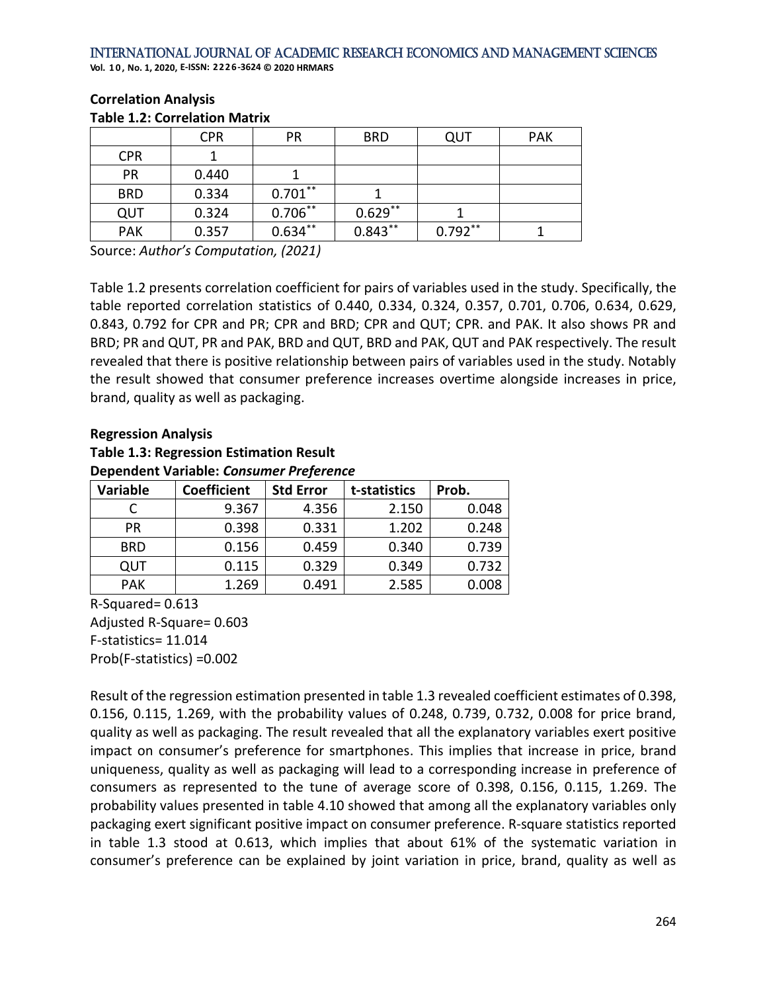**Vol. 1 0 , No. 1, 2020, E-ISSN: 2226-3624 © 2020 HRMARS**

| TUDIC 1.2. CONCIDENT IVIDENT |            |            |            |            |            |  |  |  |  |
|------------------------------|------------|------------|------------|------------|------------|--|--|--|--|
|                              | <b>CPR</b> | <b>PR</b>  | <b>BRD</b> | QUT        | <b>PAK</b> |  |  |  |  |
| <b>CPR</b>                   |            |            |            |            |            |  |  |  |  |
| <b>PR</b>                    | 0.440      |            |            |            |            |  |  |  |  |
| <b>BRD</b>                   | 0.334      | $0.701***$ |            |            |            |  |  |  |  |
| QUT                          | 0.324      | $0.706***$ | $0.629**$  |            |            |  |  |  |  |
| <b>PAK</b>                   | 0.357      | $0.634***$ | $0.843***$ | $0.792***$ |            |  |  |  |  |

#### **Correlation Analysis Table 1.2: Correlation Matrix**

Source: *Author's Computation, (2021)*

Table 1.2 presents correlation coefficient for pairs of variables used in the study. Specifically, the table reported correlation statistics of 0.440, 0.334, 0.324, 0.357, 0.701, 0.706, 0.634, 0.629, 0.843, 0.792 for CPR and PR; CPR and BRD; CPR and QUT; CPR. and PAK. It also shows PR and BRD; PR and QUT, PR and PAK, BRD and QUT, BRD and PAK, QUT and PAK respectively. The result revealed that there is positive relationship between pairs of variables used in the study. Notably the result showed that consumer preference increases overtime alongside increases in price, brand, quality as well as packaging.

# **Regression Analysis**

**Table 1.3: Regression Estimation Result**

# **Dependent Variable:** *Consumer Preference* **Variable Coefficient Std Error t-statistics Prob.** C 9.367 4.356 2.150 0.048 PR | 0.398 | 0.331 | 1.202 | 0.248 BRD 0.156 0.459 0.340 0.739 QUT | 0.115 | 0.329 | 0.349 | 0.732

PAK | 1.269 | 0.491 | 2.585 | 0.008

R-Squared= 0.613 Adjusted R-Square= 0.603 F-statistics= 11.014 Prob(F-statistics) =0.002

Result of the regression estimation presented in table 1.3 revealed coefficient estimates of 0.398, 0.156, 0.115, 1.269, with the probability values of 0.248, 0.739, 0.732, 0.008 for price brand, quality as well as packaging. The result revealed that all the explanatory variables exert positive impact on consumer's preference for smartphones. This implies that increase in price, brand uniqueness, quality as well as packaging will lead to a corresponding increase in preference of consumers as represented to the tune of average score of 0.398, 0.156, 0.115, 1.269. The probability values presented in table 4.10 showed that among all the explanatory variables only packaging exert significant positive impact on consumer preference. R-square statistics reported in table 1.3 stood at 0.613, which implies that about 61% of the systematic variation in consumer's preference can be explained by joint variation in price, brand, quality as well as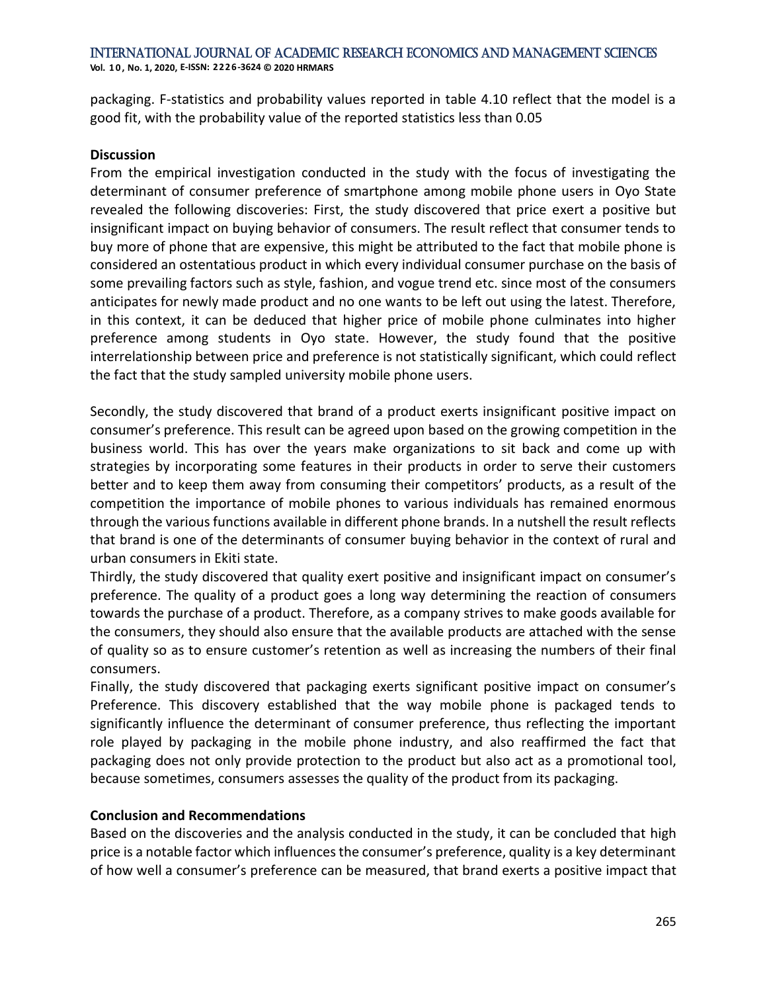packaging. F-statistics and probability values reported in table 4.10 reflect that the model is a good fit, with the probability value of the reported statistics less than 0.05

# **Discussion**

From the empirical investigation conducted in the study with the focus of investigating the determinant of consumer preference of smartphone among mobile phone users in Oyo State revealed the following discoveries: First, the study discovered that price exert a positive but insignificant impact on buying behavior of consumers. The result reflect that consumer tends to buy more of phone that are expensive, this might be attributed to the fact that mobile phone is considered an ostentatious product in which every individual consumer purchase on the basis of some prevailing factors such as style, fashion, and vogue trend etc. since most of the consumers anticipates for newly made product and no one wants to be left out using the latest. Therefore, in this context, it can be deduced that higher price of mobile phone culminates into higher preference among students in Oyo state. However, the study found that the positive interrelationship between price and preference is not statistically significant, which could reflect the fact that the study sampled university mobile phone users.

Secondly, the study discovered that brand of a product exerts insignificant positive impact on consumer's preference. This result can be agreed upon based on the growing competition in the business world. This has over the years make organizations to sit back and come up with strategies by incorporating some features in their products in order to serve their customers better and to keep them away from consuming their competitors' products, as a result of the competition the importance of mobile phones to various individuals has remained enormous through the various functions available in different phone brands. In a nutshell the result reflects that brand is one of the determinants of consumer buying behavior in the context of rural and urban consumers in Ekiti state.

Thirdly, the study discovered that quality exert positive and insignificant impact on consumer's preference. The quality of a product goes a long way determining the reaction of consumers towards the purchase of a product. Therefore, as a company strives to make goods available for the consumers, they should also ensure that the available products are attached with the sense of quality so as to ensure customer's retention as well as increasing the numbers of their final consumers.

Finally, the study discovered that packaging exerts significant positive impact on consumer's Preference. This discovery established that the way mobile phone is packaged tends to significantly influence the determinant of consumer preference, thus reflecting the important role played by packaging in the mobile phone industry, and also reaffirmed the fact that packaging does not only provide protection to the product but also act as a promotional tool, because sometimes, consumers assesses the quality of the product from its packaging.

# **Conclusion and Recommendations**

Based on the discoveries and the analysis conducted in the study, it can be concluded that high price is a notable factor which influences the consumer's preference, quality is a key determinant of how well a consumer's preference can be measured, that brand exerts a positive impact that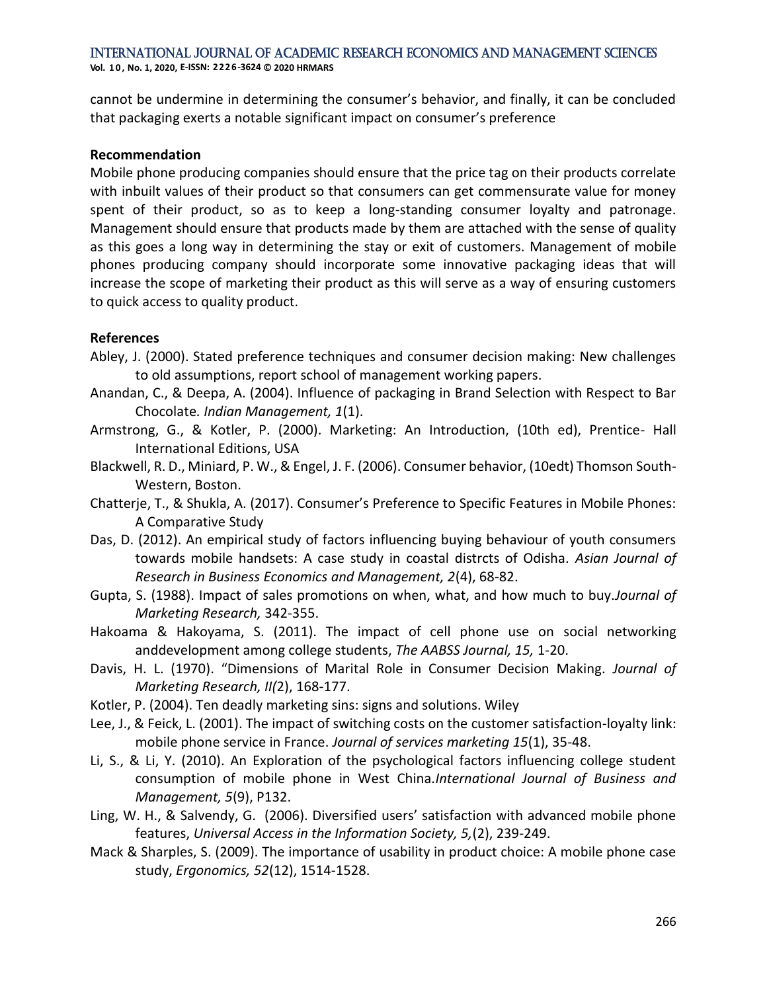**Vol. 1 0 , No. 1, 2020, E-ISSN: 2226-3624 © 2020 HRMARS**

cannot be undermine in determining the consumer's behavior, and finally, it can be concluded that packaging exerts a notable significant impact on consumer's preference

## **Recommendation**

Mobile phone producing companies should ensure that the price tag on their products correlate with inbuilt values of their product so that consumers can get commensurate value for money spent of their product, so as to keep a long-standing consumer loyalty and patronage. Management should ensure that products made by them are attached with the sense of quality as this goes a long way in determining the stay or exit of customers. Management of mobile phones producing company should incorporate some innovative packaging ideas that will increase the scope of marketing their product as this will serve as a way of ensuring customers to quick access to quality product.

## **References**

- Abley, J. (2000). Stated preference techniques and consumer decision making: New challenges to old assumptions, report school of management working papers.
- Anandan, C., & Deepa, A. (2004). Influence of packaging in Brand Selection with Respect to Bar Chocolate*. Indian Management, 1*(1).
- Armstrong, G., & Kotler, P. (2000). Marketing: An Introduction, (10th ed), Prentice- Hall International Editions, USA
- Blackwell, R. D., Miniard, P. W., & Engel, J. F. (2006). Consumer behavior, (10edt) Thomson South-Western, Boston.
- Chatterje, T., & Shukla, A. (2017). Consumer's Preference to Specific Features in Mobile Phones: A Comparative Study
- Das, D. (2012). An empirical study of factors influencing buying behaviour of youth consumers towards mobile handsets: A case study in coastal distrcts of Odisha. *Asian Journal of Research in Business Economics and Management, 2*(4), 68-82.
- Gupta, S. (1988). Impact of sales promotions on when, what, and how much to buy.*Journal of Marketing Research,* 342-355.
- Hakoama & Hakoyama, S. (2011). The impact of cell phone use on social networking anddevelopment among college students, *The AABSS Journal, 15,* 1-20.
- Davis, H. L. (1970). "Dimensions of Marital Role in Consumer Decision Making. *Journal of Marketing Research, II(*2), 168-177.
- Kotler, P. (2004). Ten deadly marketing sins: signs and solutions. Wiley
- Lee, J., & Feick, L. (2001). The impact of switching costs on the customer satisfaction-loyalty link: mobile phone service in France. *Journal of services marketing 15*(1), 35-48.
- Li, S., & Li, Y. (2010). An Exploration of the psychological factors influencing college student consumption of mobile phone in West China*.International Journal of Business and Management, 5*(9), P132.
- Ling, W. H., & Salvendy, G. (2006). Diversified users' satisfaction with advanced mobile phone features, *Universal Access in the Information Society, 5,*(2), 239-249.
- Mack & Sharples, S. (2009). The importance of usability in product choice: A mobile phone case study, *Ergonomics, 52*(12), 1514-1528.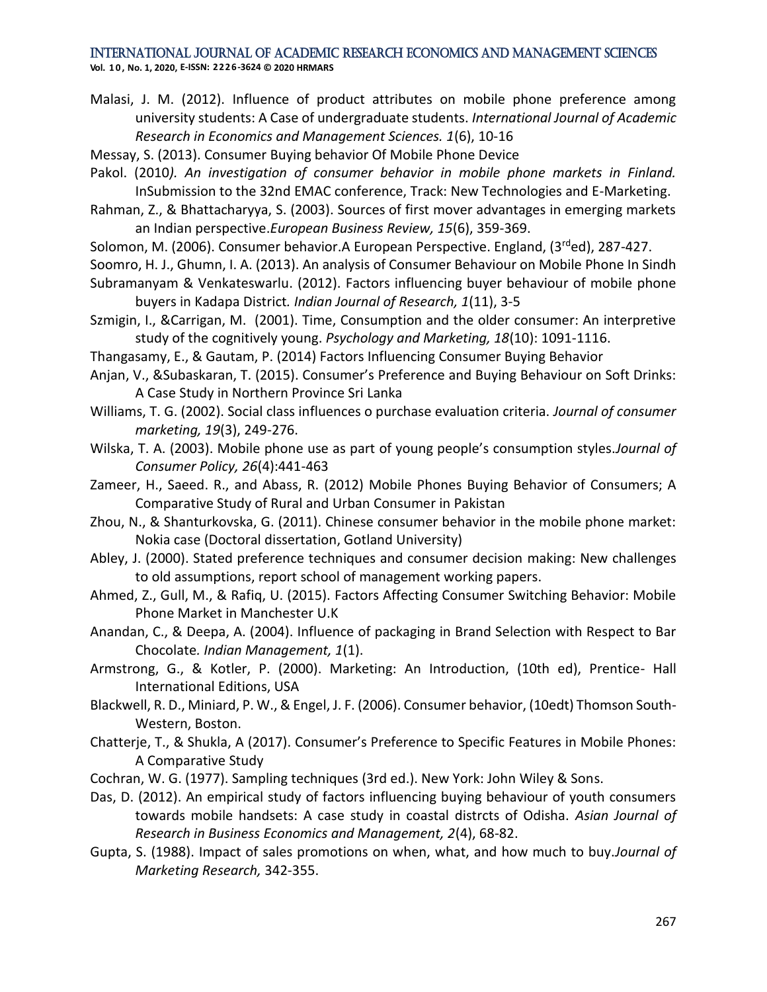**Vol. 1 0 , No. 1, 2020, E-ISSN: 2226-3624 © 2020 HRMARS**

- Malasi, J. M. (2012). Influence of product attributes on mobile phone preference among university students: A Case of undergraduate students. *International Journal of Academic Research in Economics and Management Sciences. 1*(6), 10-16
- Messay, S. (2013). Consumer Buying behavior Of Mobile Phone Device
- Pakol. (2010*). An investigation of consumer behavior in mobile phone markets in Finland.* InSubmission to the 32nd EMAC conference, Track: New Technologies and E-Marketing.
- Rahman, Z., & Bhattacharyya, S. (2003). Sources of first mover advantages in emerging markets an Indian perspective.*European Business Review, 15*(6), 359-369.
- Solomon, M. (2006). Consumer behavior. A European Perspective. England, (3<sup>rd</sup>ed), 287-427.
- Soomro, H. J., Ghumn, I. A. (2013). An analysis of Consumer Behaviour on Mobile Phone In Sindh Subramanyam & Venkateswarlu. (2012). Factors influencing buyer behaviour of mobile phone buyers in Kadapa District*. Indian Journal of Research, 1*(11), 3-5
- Szmigin, I., &Carrigan, M. (2001). Time, Consumption and the older consumer: An interpretive study of the cognitively young. *Psychology and Marketing, 18*(10): 1091-1116.
- Thangasamy, E., & Gautam, P. (2014) Factors Influencing Consumer Buying Behavior
- Anjan, V., &Subaskaran, T. (2015). Consumer's Preference and Buying Behaviour on Soft Drinks: A Case Study in Northern Province Sri Lanka
- Williams, T. G. (2002). Social class influences o purchase evaluation criteria. *Journal of consumer marketing, 19*(3), 249-276.
- Wilska, T. A. (2003). Mobile phone use as part of young people's consumption styles.*Journal of Consumer Policy, 26*(4):441-463
- Zameer, H., Saeed. R., and Abass, R. (2012) Mobile Phones Buying Behavior of Consumers; A Comparative Study of Rural and Urban Consumer in Pakistan
- Zhou, N., & Shanturkovska, G. (2011). Chinese consumer behavior in the mobile phone market: Nokia case (Doctoral dissertation, Gotland University)
- Abley, J. (2000). Stated preference techniques and consumer decision making: New challenges to old assumptions, report school of management working papers.
- Ahmed, Z., Gull, M., & Rafiq, U. (2015). Factors Affecting Consumer Switching Behavior: Mobile Phone Market in Manchester U.K
- Anandan, C., & Deepa, A. (2004). Influence of packaging in Brand Selection with Respect to Bar Chocolate*. Indian Management, 1*(1).
- Armstrong, G., & Kotler, P. (2000). Marketing: An Introduction, (10th ed), Prentice- Hall International Editions, USA
- Blackwell, R. D., Miniard, P. W., & Engel, J. F. (2006). Consumer behavior, (10edt) Thomson South-Western, Boston.
- Chatterje, T., & Shukla, A (2017). Consumer's Preference to Specific Features in Mobile Phones: A Comparative Study
- Cochran, W. G. (1977). Sampling techniques (3rd ed.). New York: John Wiley & Sons.
- Das, D. (2012). An empirical study of factors influencing buying behaviour of youth consumers towards mobile handsets: A case study in coastal distrcts of Odisha. *Asian Journal of Research in Business Economics and Management, 2*(4), 68-82.
- Gupta, S. (1988). Impact of sales promotions on when, what, and how much to buy.*Journal of Marketing Research,* 342-355.